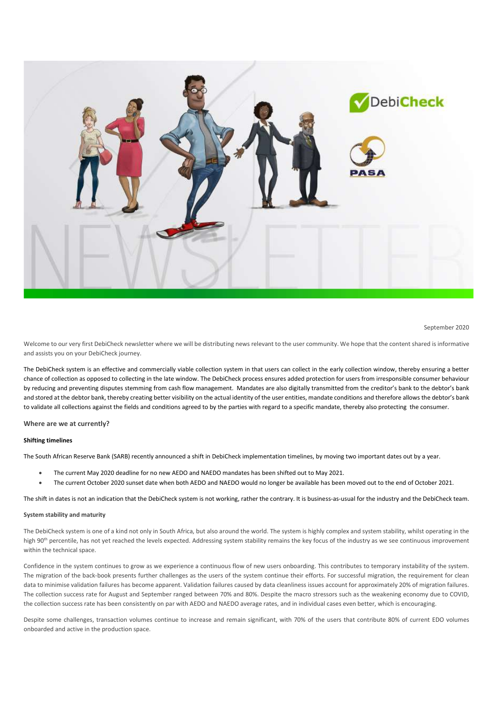

September 2020

Welcome to our very first DebiCheck newsletter where we will be distributing news relevant to the user community. We hope that the content shared is informative and assists you on your DebiCheck journey.

The DebiCheck system is an effective and commercially viable collection system in that users can collect in the early collection window, thereby ensuring a better chance of collection as opposed to collecting in the late window. The DebiCheck process ensures added protection for users from irresponsible consumer behaviour by reducing and preventing disputes stemming from cash flow management. Mandates are also digitally transmitted from the creditor's bank to the debtor's bank and stored at the debtor bank, thereby creating better visibility on the actual identity of the user entities, mandate conditions and therefore allows the debtor's bank to validate all collections against the fields and conditions agreed to by the parties with regard to a specific mandate, thereby also protecting the consumer.

Where are we at currently?

### Shifting timelines

The South African Reserve Bank (SARB) recently announced a shift in DebiCheck implementation timelines, by moving two important dates out by a year.

- The current May 2020 deadline for no new AEDO and NAEDO mandates has been shifted out to May 2021.
- The current October 2020 sunset date when both AEDO and NAEDO would no longer be available has been moved out to the end of October 2021.

The shift in dates is not an indication that the DebiCheck system is not working, rather the contrary. It is business-as-usual for the industry and the DebiCheck team.

## System stability and maturity

The DebiCheck system is one of a kind not only in South Africa, but also around the world. The system is highly complex and system stability, whilst operating in the high 90<sup>th</sup> percentile, has not yet reached the levels expected. Addressing system stability remains the key focus of the industry as we see continuous improvement within the technical space.

Confidence in the system continues to grow as we experience a continuous flow of new users onboarding. This contributes to temporary instability of the system. The migration of the back-book presents further challenges as the users of the system continue their efforts. For successful migration, the requirement for clean data to minimise validation failures has become apparent. Validation failures caused by data cleanliness issues account for approximately 20% of migration failures. The collection success rate for August and September ranged between 70% and 80%. Despite the macro stressors such as the weakening economy due to COVID, the collection success rate has been consistently on par with AEDO and NAEDO average rates, and in individual cases even better, which is encouraging.

Despite some challenges, transaction volumes continue to increase and remain significant, with 70% of the users that contribute 80% of current EDO volumes onboarded and active in the production space.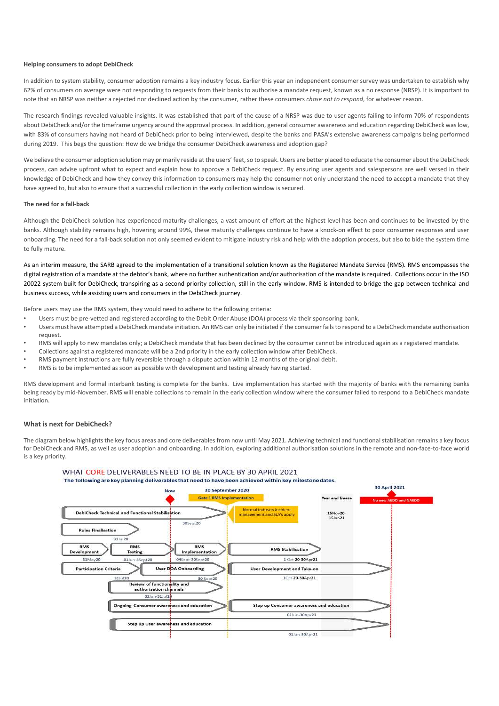#### Helping consumers to adopt DebiCheck

In addition to system stability, consumer adoption remains a key industry focus. Earlier this year an independent consumer survey was undertaken to establish why 62% of consumers on average were not responding to requests from their banks to authorise a mandate request, known as a no response (NRSP). It is important to note that an NRSP was neither a rejected nor declined action by the consumer, rather these consumers chose not to respond, for whatever reason.

The research findings revealed valuable insights. It was established that part of the cause of a NRSP was due to user agents failing to inform 70% of respondents about DebiCheck and/or the timeframe urgency around the approval process. In addition, general consumer awareness and education regarding DebiCheck was low, with 83% of consumers having not heard of DebiCheck prior to being interviewed, despite the banks and PASA's extensive awareness campaigns being performed during 2019. This begs the question: How do we bridge the consumer DebiCheck awareness and adoption gap?

We believe the consumer adoption solution may primarily reside at the users' feet, so to speak. Users are better placed to educate the consumer about the DebiCheck process, can advise upfront what to expect and explain how to approve a DebiCheck request. By ensuring user agents and salespersons are well versed in their knowledge of DebiCheck and how they convey this information to consumers may help the consumer not only understand the need to accept a mandate that they have agreed to, but also to ensure that a successful collection in the early collection window is secured.

## The need for a fall-back

Although the DebiCheck solution has experienced maturity challenges, a vast amount of effort at the highest level has been and continues to be invested by the banks. Although stability remains high, hovering around 99%, these maturity challenges continue to have a knock-on effect to poor consumer responses and user onboarding. The need for a fall-back solution not only seemed evident to mitigate industry risk and help with the adoption process, but also to bide the system time to fully mature.

As an interim measure, the SARB agreed to the implementation of a transitional solution known as the Registered Mandate Service (RMS). RMS encompasses the digital registration of a mandate at the debtor's bank, where no further authentication and/or authorisation of the mandate is required. Collections occur in the ISO 20022 system built for DebiCheck, transpiring as a second priority collection, still in the early window. RMS is intended to bridge the gap between technical and business success, while assisting users and consumers in the DebiCheck journey.

Before users may use the RMS system, they would need to adhere to the following criteria:

- Users must be pre-vetted and registered according to the Debit Order Abuse (DOA) process via their sponsoring bank.
- Users must have attempted a DebiCheck mandate initiation. An RMS can only be initiated if the consumer fails to respond to a DebiCheck mandate authorisation request.
- RMS will apply to new mandates only; a DebiCheck mandate that has been declined by the consumer cannot be introduced again as a registered mandate.
- Collections against a registered mandate will be a 2nd priority in the early collection window after DebiCheck.
- RMS payment instructions are fully reversible through a dispute action within 12 months of the original debit.
- RMS is to be implemented as soon as possible with development and testing already having started.

RMS development and formal interbank testing is complete for the banks. Live implementation has started with the majority of banks with the remaining banks being ready by mid-November. RMS will enable collections to remain in the early collection window where the consumer failed to respond to a DebiCheck mandate initiation.

## What is next for DebiCheck?

The diagram below highlights the key focus areas and core deliverables from now until May 2021. Achieving technical and functional stabilisation remains a key focus for DebiCheck and RMS, as well as user adoption and onboarding. In addition, exploring additional authorisation solutions in the remote and non-face-to-face world is a key priority.

# WHAT CORE DELIVERABLES NEED TO BE IN PLACE BY 30 APRIL 2021

The following are key planning deliverables that need to have been achieved within key milestone dates.